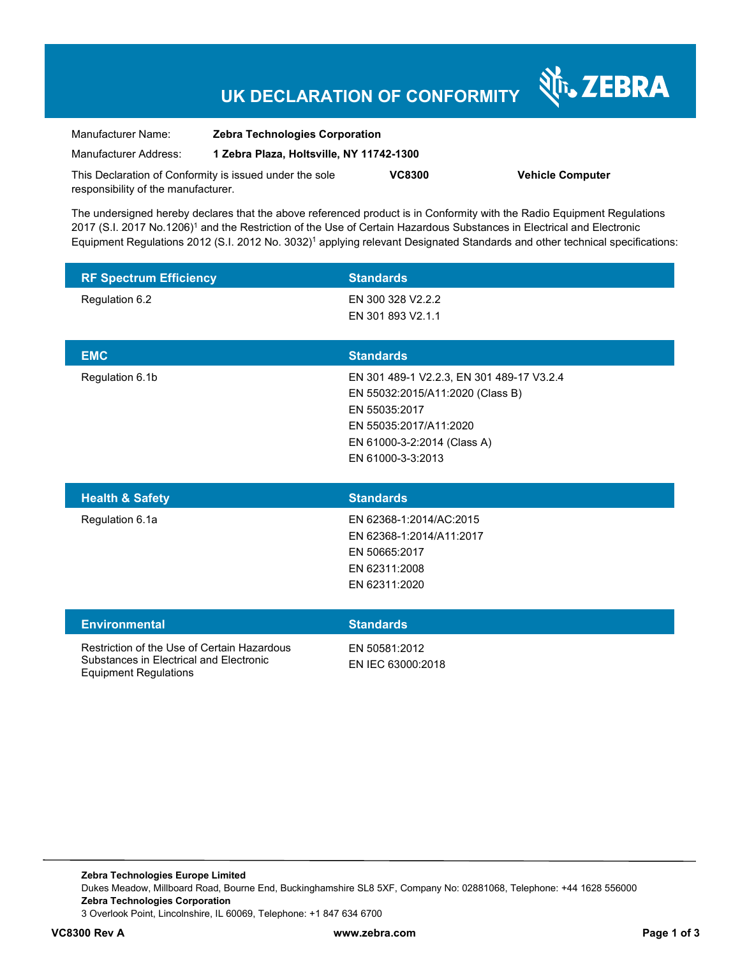# **UK DECLARATION OF CONFORMITY**

Nr. ZEBRA

| Manufacturer Name:                  | <b>Zebra Technologies Corporation</b>                   |               |                         |
|-------------------------------------|---------------------------------------------------------|---------------|-------------------------|
| Manufacturer Address:               | 1 Zebra Plaza, Holtsville, NY 11742-1300                |               |                         |
|                                     | This Declaration of Conformity is issued under the sole | <b>VC8300</b> | <b>Vehicle Computer</b> |
| responsibility of the manufacturer. |                                                         |               |                         |

The undersigned hereby declares that the above referenced product is in Conformity with the Radio Equipment Regulations 2017 (S.I. 2017 No.1206)<sup>1</sup> and the Restriction of the Use of Certain Hazardous Substances in Electrical and Electronic Equipment Regulations 2012 (S.I. 2012 No. 3032)<sup>1</sup> applying relevant Designated Standards and other technical specifications:

| <b>RF Spectrum Efficiency</b> | <b>Standards</b>                          |
|-------------------------------|-------------------------------------------|
| Regulation 6.2                | EN 300 328 V2.2.2                         |
|                               | EN 301 893 V2.1.1                         |
|                               |                                           |
| <b>EMC</b>                    | <b>Standards</b>                          |
| Regulation 6.1b               | EN 301 489-1 V2.2.3, EN 301 489-17 V3.2.4 |
|                               | EN 55032:2015/A11:2020 (Class B)          |
|                               | EN 55035:2017                             |
|                               | EN 55035:2017/A11:2020                    |
|                               | EN 61000-3-2:2014 (Class A)               |
|                               | EN 61000-3-3:2013                         |
|                               |                                           |

| <b>Health &amp; Safety</b> | <b>Standards</b>         |
|----------------------------|--------------------------|
| Regulation 6.1a            | EN 62368-1:2014/AC:2015  |
|                            | EN 62368-1:2014/A11:2017 |
|                            | EN 50665:2017            |
|                            | EN 62311:2008            |
|                            | EN 62311:2020            |
|                            |                          |

| <b>Environmental</b>                                                                                            | <b>Standards</b>                   |
|-----------------------------------------------------------------------------------------------------------------|------------------------------------|
| Restriction of the Use of Certain Hazardous<br>Substances in Electrical and Electronic<br>Equipment Regulations | EN 50581:2012<br>EN IEC 63000:2018 |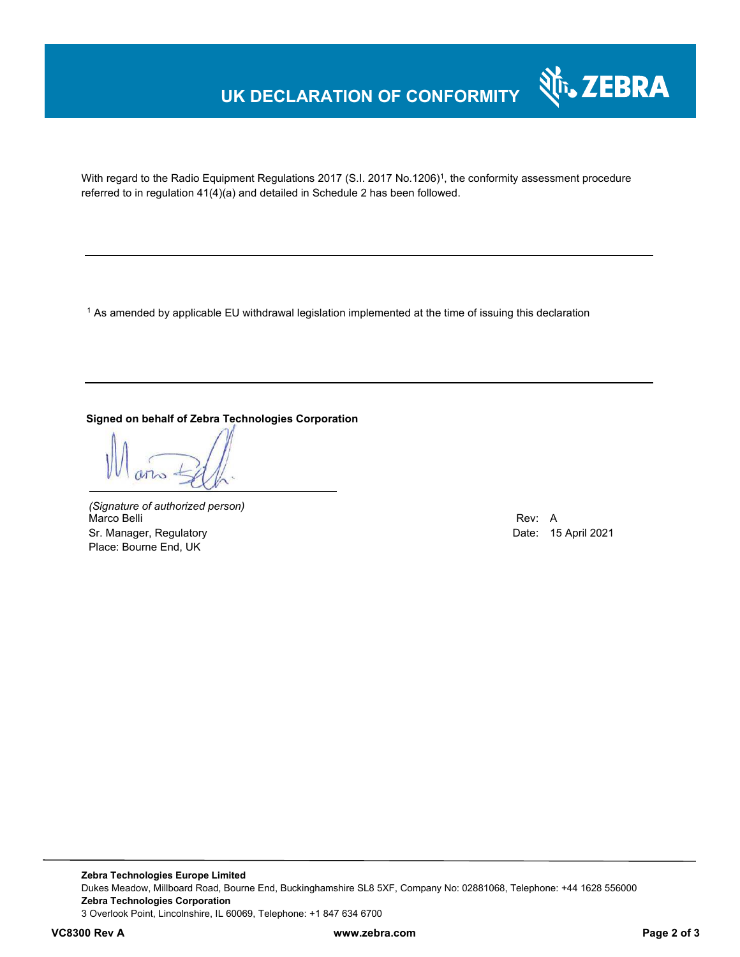## **UK DECLARATION OF CONFORMITY**



With regard to the Radio Equipment Regulations 2017 (S.I. 2017 No.1206)<sup>1</sup>, the conformity assessment procedure referred to in regulation 41(4)(a) and detailed in Schedule 2 has been followed.

 $^{\rm 1}$  As amended by applicable EU withdrawal legislation implemented at the time of issuing this declaration

### **Signed on behalf of Zebra Technologies Corporation**

*(Signature of authorized person)* Marco Belli Rev: A Sr. Manager, Regulatory **Date: 15 April 2021** Place: Bourne End, UK